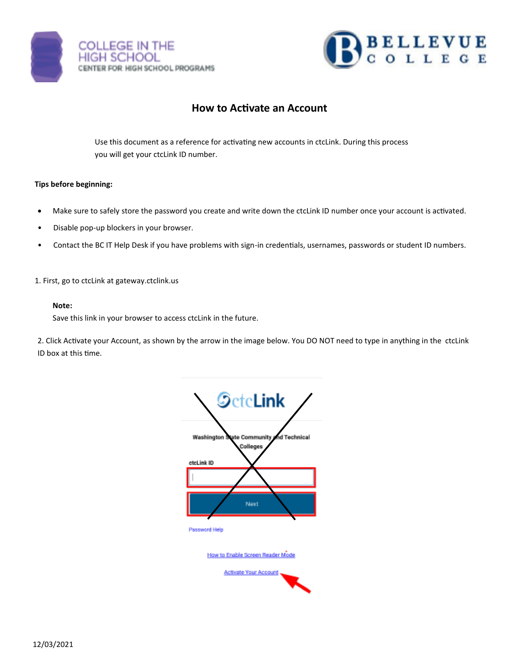



# **How to Activate an Account**

Use this document as a reference for activating new accounts in ctcLink. During this process you will get your ctcLink ID number.

### **Tips before beginning:**

- Make sure to safely store the password you create and write down the ctcLink ID number once your account is activated.
- Disable pop-up blockers in your browser.
- Contact the BC IT Help Desk if you have problems with sign-in credentials, usernames, passwords or student ID numbers.

1. First, go to ctcLink at gateway.ctclink.us

#### **Note:**

Save this link in your browser to access ctcLink in the future.

2. Click Activate your Account, as shown by the arrow in the image below. You DO NOT need to type in anything in the ctcLink ID box at this time.

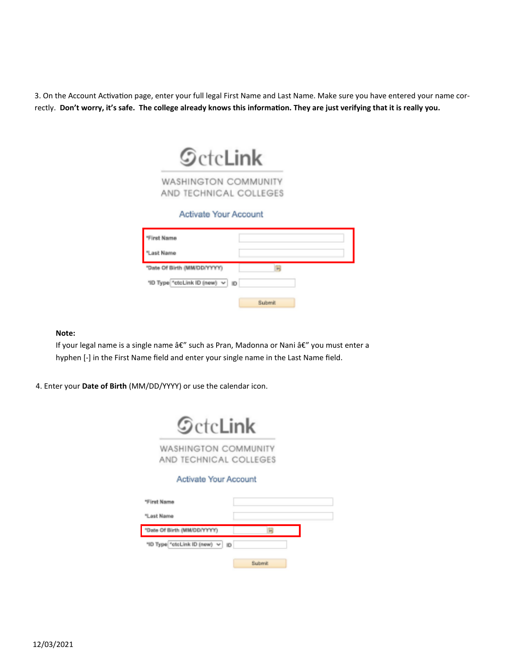3. On the Account Activation page, enter your full legal First Name and Last Name. Make sure you have entered your name correctly. **Don't worry, it's safe. The college already knows this information. They are just verifying that it is really you.**



**WASHINGTON COMMUNITY** AND TECHNICAL COLLEGES

## Activate Your Account

| "First Name                       |        |
|-----------------------------------|--------|
| "Last Name                        |        |
| "Date Of Birth (MM/DD/YYYYY)      | m      |
| "ID Type "ctcLink ID (new) v   ID |        |
|                                   | Submit |

**Note:** 

If your legal name is a single name â€" such as Pran, Madonna or Nani â€" you must enter a hyphen [-] in the First Name field and enter your single name in the Last Name field.

4. Enter your **Date of Birth** (MM/DD/YYYY) or use the calendar icon.

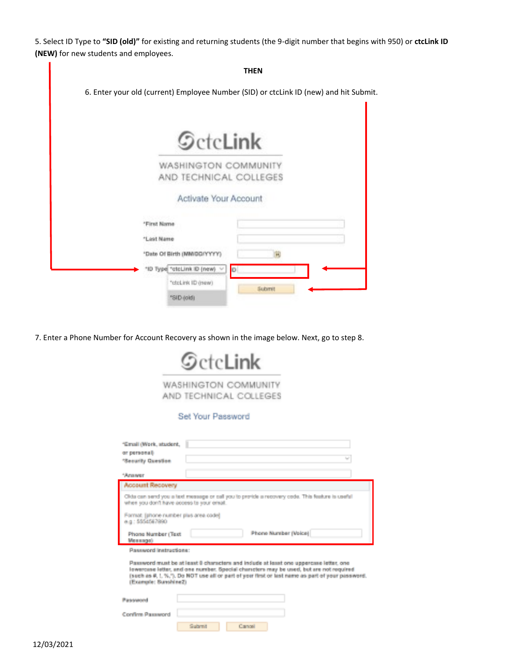5. Select ID Type to **"SID (old)"** for existing and returning students (the 9-digit number that begins with 950) or **ctcLink ID (NEW)** for new students and employees.

|                                                | <b>THEN</b>                                                                           |
|------------------------------------------------|---------------------------------------------------------------------------------------|
|                                                | 6. Enter your old (current) Employee Number (SID) or ctcLink ID (new) and hit Submit. |
|                                                |                                                                                       |
| <b>SctcLink</b>                                |                                                                                       |
| WASHINGTON COMMUNITY<br>AND TECHNICAL COLLEGES |                                                                                       |
| Activate Your Account                          |                                                                                       |
| *First Name                                    |                                                                                       |
| "Lest Name                                     |                                                                                       |
| *Date Of Birth (MM/DD/YYYY)                    |                                                                                       |
| "ID Type "ctcLink ID (new)                     | O                                                                                     |
| "cloLink ID (new)                              |                                                                                       |
| "SID (old)                                     | Submit                                                                                |

7. Enter a Phone Number for Account Recovery as shown in the image below. Next, go to step 8.

|                                                                           | $\mathcal G$ ctc <b>Link</b>                   |         |                                                                                                                                                                                                                                                                                     |
|---------------------------------------------------------------------------|------------------------------------------------|---------|-------------------------------------------------------------------------------------------------------------------------------------------------------------------------------------------------------------------------------------------------------------------------------------|
|                                                                           | WASHINGTON COMMUNITY<br>AND TECHNICAL COLLEGES |         |                                                                                                                                                                                                                                                                                     |
|                                                                           | Sel Your Password                              |         |                                                                                                                                                                                                                                                                                     |
| "Email (Work, student,<br>or personally<br>"Security Question<br>*Anancer |                                                |         | <b>Sect</b>                                                                                                                                                                                                                                                                         |
| <b>Account Recovery</b>                                                   |                                                |         |                                                                                                                                                                                                                                                                                     |
| when you don't have access to your email.                                 |                                                |         | Olds can send you a text message or call you to provide a recovery orde. This feature is usefull                                                                                                                                                                                    |
| Format lahore rumber plus area codel<br>e.g.: 5554567990                  |                                                |         |                                                                                                                                                                                                                                                                                     |
| Phone Number (Text)<br>Memmoral                                           |                                                |         | Phone Number (Voice)                                                                                                                                                                                                                                                                |
| Password Instructions:                                                    |                                                |         |                                                                                                                                                                                                                                                                                     |
| (Example: SunshineZ)                                                      |                                                |         | Password must be at least 8 characters and include at least one uppercase letter, one<br>lowercase letter, and one number. Special characters may be used, but are not required<br>(such as #, 1, %, %, Do NOT use all or part of your first or last name as part of your password) |
| Passwared                                                                 |                                                |         |                                                                                                                                                                                                                                                                                     |
| Confirm Password                                                          |                                                |         |                                                                                                                                                                                                                                                                                     |
|                                                                           | <b>Subratt</b>                                 | Cancell |                                                                                                                                                                                                                                                                                     |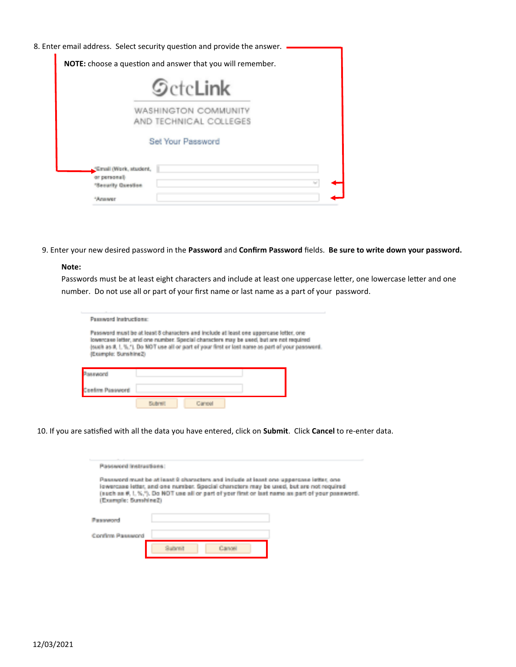| 8. Enter email address. Select security question and provide the answer. |  |
|--------------------------------------------------------------------------|--|
| <b>NOTE:</b> choose a question and answer that you will remember.        |  |
| <b>SctcLink</b>                                                          |  |
| WASHINGTON COMMU<br>AND TECHNICAL COLLEGES                               |  |
| Set Your Password                                                        |  |
| "Email (Work, student,                                                   |  |
| or personal<br>$\mathbb{Z}_{\geq 0}$<br>Security Canadian                |  |
|                                                                          |  |

9. Enter your new desired password in the **Password** and **Confirm Password** fields. **Be sure to write down your password.**

#### **Note:**

Passwords must be at least eight characters and include at least one uppercase letter, one lowercase letter and one number. Do not use all or part of your first name or last name as a part of your password.

| <b>Demographication of inter-</b>                                                                                                                                                                                                                                                                         |                     |  |  |  |  |
|-----------------------------------------------------------------------------------------------------------------------------------------------------------------------------------------------------------------------------------------------------------------------------------------------------------|---------------------|--|--|--|--|
| Password must be at least 8 characters and include at least one uppercase letter, one<br>lowencase letter, and one number. Special characters may be used, but are not required<br>(such as #, I, %,*). Do NOT use all or part of your first or last same as part of your password<br>Example: Sunshing2) |                     |  |  |  |  |
|                                                                                                                                                                                                                                                                                                           |                     |  |  |  |  |
|                                                                                                                                                                                                                                                                                                           |                     |  |  |  |  |
|                                                                                                                                                                                                                                                                                                           | <b>Construction</b> |  |  |  |  |

10. If you are satisfied with all the data you have entered, click on **Submit**. Click **Cancel** to re-enter data.

| <b>Password Instructions</b><br>Password must be at least 9 characters and include at least one uppercase letter, one<br>lewercase letter, and one number. Special characters may be used, but are not required<br>(such as K. L.%,%). Do NOT use all or part of your first or last name as part of your password.<br>(Example: Surahine2) |  |
|--------------------------------------------------------------------------------------------------------------------------------------------------------------------------------------------------------------------------------------------------------------------------------------------------------------------------------------------|--|
|                                                                                                                                                                                                                                                                                                                                            |  |
|                                                                                                                                                                                                                                                                                                                                            |  |
| <b>STATE IN EXCHANGE</b>                                                                                                                                                                                                                                                                                                                   |  |
| Confirm Password                                                                                                                                                                                                                                                                                                                           |  |
|                                                                                                                                                                                                                                                                                                                                            |  |